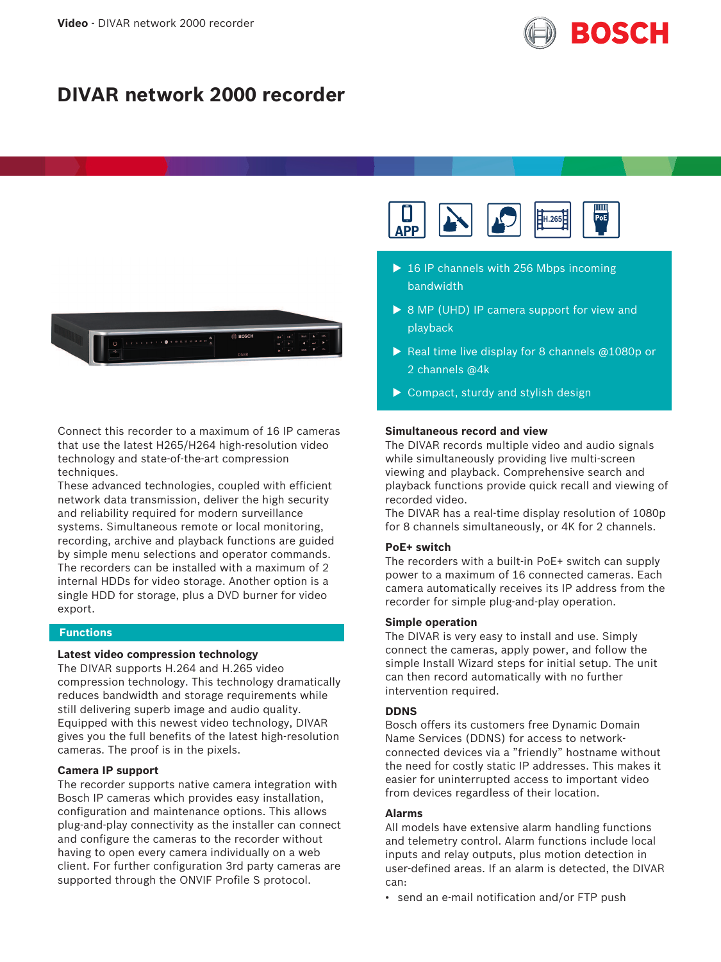

# **DIVAR network 2000 recorder**



Connect this recorder to a maximum of 16 IP cameras that use the latest H265/H264 high-resolution video technology and state-of-the-art compression techniques.

These advanced technologies, coupled with efficient network data transmission, deliver the high security and reliability required for modern surveillance systems. Simultaneous remote or local monitoring, recording, archive and playback functions are guided by simple menu selections and operator commands. The recorders can be installed with a maximum of 2 internal HDDs for video storage. Another option is a single HDD for storage, plus a DVD burner for video export.

# **Functions**

### **Latest video compression technology**

The DIVAR supports H.264 and H.265 video compression technology. This technology dramatically reduces bandwidth and storage requirements while still delivering superb image and audio quality. Equipped with this newest video technology, DIVAR gives you the full benefits of the latest high-resolution cameras. The proof is in the pixels.

### **Camera IP support**

The recorder supports native camera integration with Bosch IP cameras which provides easy installation, configuration and maintenance options. This allows plug-and-play connectivity as the installer can connect and configure the cameras to the recorder without having to open every camera individually on a web client. For further configuration 3rd party cameras are supported through the ONVIF Profile S protocol.



- $\triangleright$  16 IP channels with 256 Mbps incoming bandwidth
- $\triangleright$  8 MP (UHD) IP camera support for view and playback
- $\triangleright$  Real time live display for 8 channels @1080p or 2 channels @4k
- $\triangleright$  Compact, sturdy and stylish design

### **Simultaneous record and view**

The DIVAR records multiple video and audio signals while simultaneously providing live multi-screen viewing and playback. Comprehensive search and playback functions provide quick recall and viewing of recorded video.

The DIVAR has a real-time display resolution of 1080p for 8 channels simultaneously, or 4K for 2 channels.

### **PoE+ switch**

The recorders with a built-in PoE+ switch can supply power to a maximum of 16 connected cameras. Each camera automatically receives its IP address from the recorder for simple plug-and-play operation.

### **Simple operation**

The DIVAR is very easy to install and use. Simply connect the cameras, apply power, and follow the simple Install Wizard steps for initial setup. The unit can then record automatically with no further intervention required.

#### **DDNS**

Bosch offers its customers free Dynamic Domain Name Services (DDNS) for access to networkconnected devices via a "friendly" hostname without the need for costly static IP addresses. This makes it easier for uninterrupted access to important video from devices regardless of their location.

### **Alarms**

All models have extensive alarm handling functions and telemetry control. Alarm functions include local inputs and relay outputs, plus motion detection in user-defined areas. If an alarm is detected, the DIVAR can:

• send an e-mail notification and/or FTP push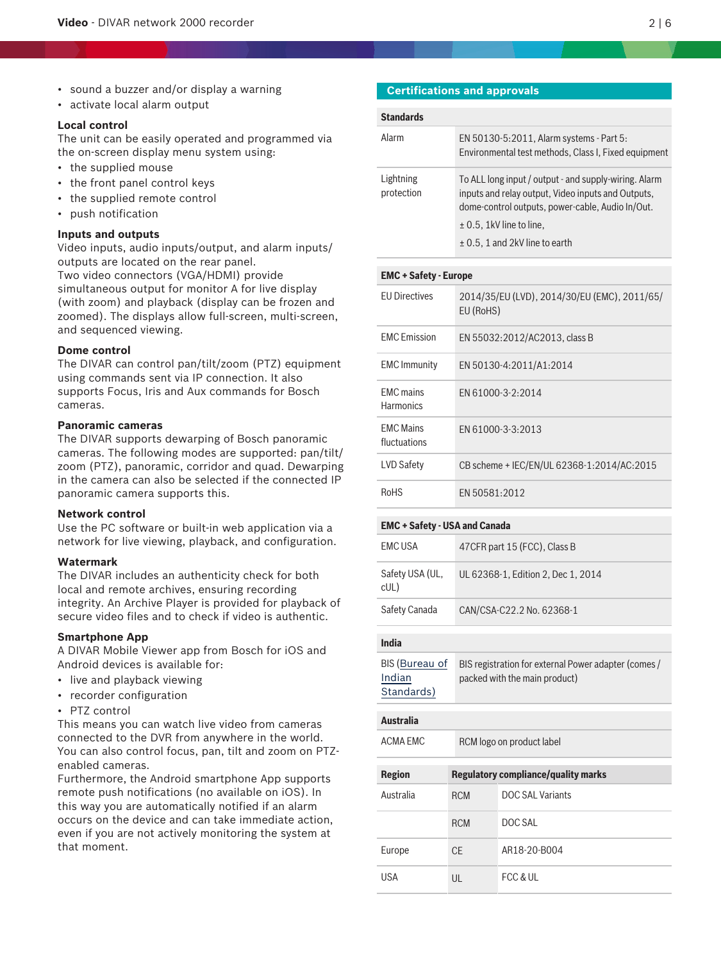- sound a buzzer and/or display a warning
- activate local alarm output

### **Local control**

The unit can be easily operated and programmed via the on-screen display menu system using:

- the supplied mouse
- the front panel control keys
- the supplied remote control
- push notification

## **Inputs and outputs**

Video inputs, audio inputs/output, and alarm inputs/ outputs are located on the rear panel. Two video connectors (VGA/HDMI) provide simultaneous output for monitor A for live display (with zoom) and playback (display can be frozen and zoomed). The displays allow full-screen, multi-screen, and sequenced viewing.

### **Dome control**

The DIVAR can control pan/tilt/zoom (PTZ) equipment using commands sent via IP connection. It also supports Focus, Iris and Aux commands for Bosch cameras.

### **Panoramic cameras**

The DIVAR supports dewarping of Bosch panoramic cameras. The following modes are supported: pan/tilt/ zoom (PTZ), panoramic, corridor and quad. Dewarping in the camera can also be selected if the connected IP panoramic camera supports this.

### **Network control**

Use the PC software or built-in web application via a network for live viewing, playback, and configuration.

### **Watermark**

The DIVAR includes an authenticity check for both local and remote archives, ensuring recording integrity. An Archive Player is provided for playback of secure video files and to check if video is authentic.

### **Smartphone App**

A DIVAR Mobile Viewer app from Bosch for iOS and Android devices is available for:

- live and playback viewing
- recorder configuration
- PTZ control

This means you can watch live video from cameras connected to the DVR from anywhere in the world. You can also control focus, pan, tilt and zoom on PTZenabled cameras.

Furthermore, the Android smartphone App supports remote push notifications (no available on iOS). In this way you are automatically notified if an alarm occurs on the device and can take immediate action, even if you are not actively monitoring the system at that moment.

### **Certifications and approvals**

| <b>Standards</b>        |                                                                                                                                                                 |
|-------------------------|-----------------------------------------------------------------------------------------------------------------------------------------------------------------|
| Alarm                   | EN 50130-5:2011, Alarm systems - Part 5:<br>Environmental test methods, Class I, Fixed equipment                                                                |
| Lightning<br>protection | To ALL long input / output - and supply-wiring. Alarm<br>inputs and relay output, Video inputs and Outputs,<br>dome-control outputs, power-cable, Audio In/Out. |
|                         | $\pm$ 0.5, 1kV line to line,                                                                                                                                    |
|                         | $\pm$ 0.5, 1 and 2kV line to earth                                                                                                                              |

# **EMC + Safety - Europe**

| <b>FU Directives</b>                 | 2014/35/EU (LVD), 2014/30/EU (EMC), 2011/65/<br>EU (RoHS) |
|--------------------------------------|-----------------------------------------------------------|
| <b>FMC</b> Emission                  | EN 55032:2012/AC2013, class B                             |
| <b>EMC</b> Immunity                  | EN 50130-4:2011/A1:2014                                   |
| <b>FMC</b> mains<br><b>Harmonics</b> | FN 61000-3-2:2014                                         |
| <b>FMC Mains</b><br>fluctuations     | FN 61000-3-3:2013                                         |
| LVD Safety                           | CB scheme + IEC/EN/UL 62368-1:2014/AC:2015                |
| <b>RoHS</b>                          | FN 50581:2012                                             |

### **EMC + Safety - USA and Canada**

| EMC USA                | 47 CFR part 15 (FCC), Class B      |
|------------------------|------------------------------------|
| Safety USA (UL,<br>cUL | UL 62368-1, Edition 2, Dec 1, 2014 |
| Safety Canada          | CAN/CSA-C22.2 No. 62368-1          |

## **India**

| BIS (Bureau of | BIS registration for external Power adapter (comes / |
|----------------|------------------------------------------------------|
| Indian         | packed with the main product)                        |
| Standards)     |                                                      |

# **Australia** ACMA EMC RCM logo on product label

**Region Regulatory compliance/quality marks** Australia RCM DOC SAL Variants RCM DOC SAL Europe CE AR18-20-B004 USA UL FCC & UL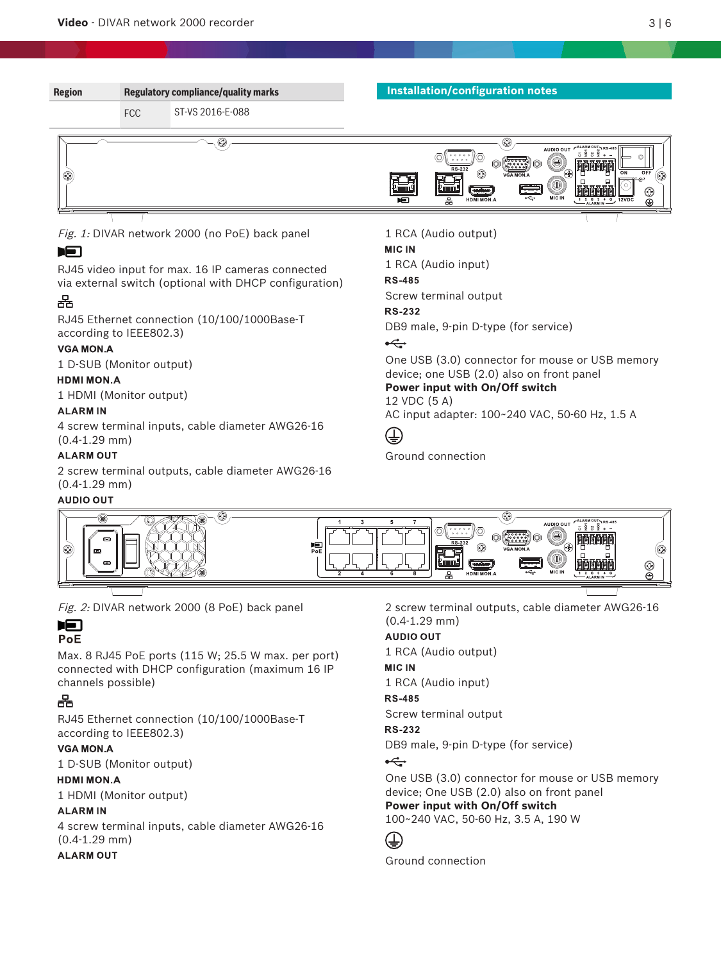

# **ALARM OUT**

2 screw terminal outputs, cable diameter AWG26‑16 (0.4-1.29 mm)

**AUDIO OUT** 

GB.

Fig. 2: DIVAR network 2000 (8 PoE) back panel

### **IFI** PoE

Max. 8 RJ45 PoE ports (115 W; 25.5 W max. per port) connected with DHCP configuration (maximum 16 IP channels possible)

# 몲

RJ45 Ethernet connection (10/100/1000Base-T according to IEEE802.3)

# **VGA MON.A**

1 D-SUB (Monitor output)

# **HDMI MON.A**

1 HDMI (Monitor output)

# **ALARMIN**

4 screw terminal inputs, cable diameter AWG26‑16 (0.4-1.29 mm)

# **ALARM OUT**

2 screw terminal outputs, cable diameter AWG26‑16 (0.4-1.29 mm)

# **AUDIO OUT**

1 RCA (Audio output)

# **MIC IN**

1 RCA (Audio input)

## **RS-485**

Screw terminal output

## **RS-232**

DB9 male, 9-pin D-type (for service)

# $\leftarrow$

One USB (3.0) connector for mouse or USB memory device; One USB (2.0) also on front panel **Power input with On/Off switch**

100~240 VAC, 50-60 Hz, 3.5 A, 190 W

# $(\pm)$

Ground connection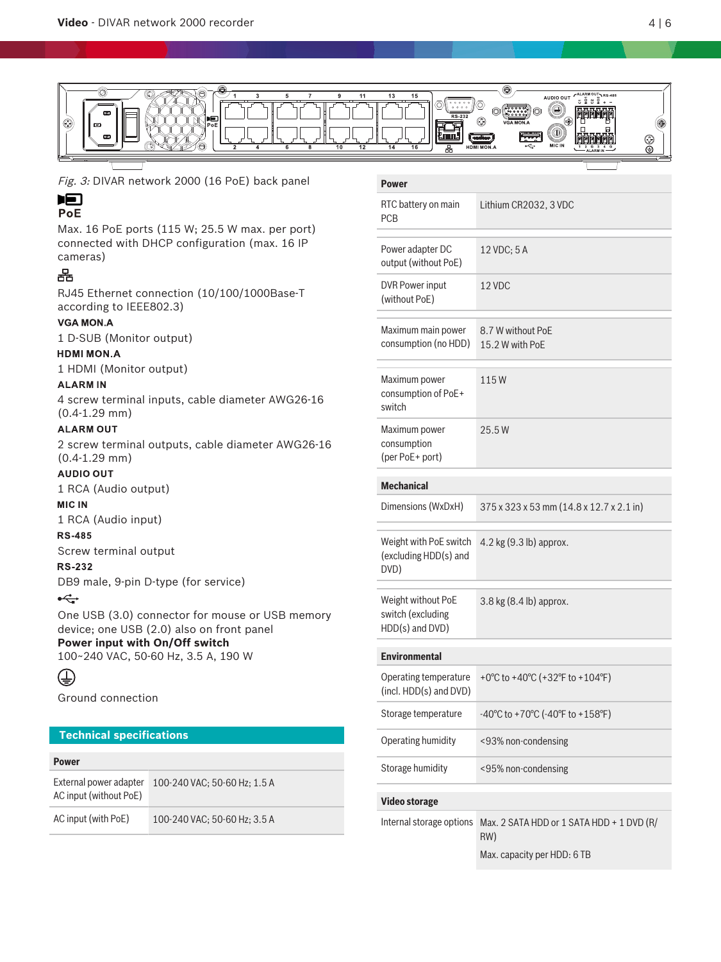

Fig. 3: DIVAR network 2000 (16 PoE) back panel

# **IFI**

# PoE

Max. 16 PoE ports (115 W; 25.5 W max. per port) connected with DHCP configuration (max. 16 IP cameras)

# 몲

RJ45 Ethernet connection (10/100/1000Base-T according to IEEE802.3)

# **VGA MON.A**

1 D-SUB (Monitor output)

# **HDMI MON.A**

1 HDMI (Monitor output)

# **ALARMIN**

4 screw terminal inputs, cable diameter AWG26‑16 (0.4-1.29 mm)

# **ALARM OUT**

2 screw terminal outputs, cable diameter AWG26‑16 (0.4-1.29 mm)

# **AUDIO OUT**

1 RCA (Audio output)

# **MIC IN**

1 RCA (Audio input)

# **RS-485**

Screw terminal output

# **RS-232**

DB9 male, 9-pin D-type (for service)

# $\stackrel{\frown}{\longrightarrow}$

One USB (3.0) connector for mouse or USB memory device; one USB (2.0) also on front panel **Power input with On/Off switch** 100~240 VAC, 50-60 Hz, 3.5 A, 190 W

# ⊕

Ground connection

# **Technical specifications**

### **Power**

| External power adapter<br>AC input (without PoE) | 100-240 VAC; 50-60 Hz; 1.5 A |
|--------------------------------------------------|------------------------------|
| AC input (with PoE)                              | 100-240 VAC: 50-60 Hz: 3.5 A |

### **Power**

| RTC battery on main<br><b>PCB</b>                          | Lithium CR2032, 3 VDC                    |
|------------------------------------------------------------|------------------------------------------|
| Power adapter DC<br>output (without PoE)                   | 12 VDC; 5 A                              |
| <b>DVR Power input</b><br>(without PoE)                    | 12 VDC                                   |
| Maximum main power<br>consumption (no HDD)                 | 8.7 W without PoF<br>15.2 W with PoE     |
| Maximum power<br>consumption of PoE+<br>switch             | 115W                                     |
| Maximum power<br>consumption<br>(per PoE+ port)            | 25.5W                                    |
| <b>Mechanical</b>                                          |                                          |
| Dimensions (WxDxH)                                         | 375 x 323 x 53 mm (14.8 x 12.7 x 2.1 in) |
| Weight with PoE switch<br>(excluding HDD(s) and<br>DVD)    | 4.2 kg (9.3 lb) approx.                  |
| Weight without PoE<br>switch (excluding<br>HDD(s) and DVD) | 3.8 kg (8.4 lb) approx.                  |
| <b>Environmental</b>                                       |                                          |
| Operating temperature<br>(incl. HDD(s) and DVD)            | +0°C to +40°C (+32°F to +104°F)          |
| Storage temperature                                        |                                          |
|                                                            | -40°C to +70°C (-40°F to +158°F)         |
| Operating humidity                                         | <93% non-condensing                      |
| Storage humidity                                           | <95% non-condensing                      |
| <b>Video storage</b>                                       |                                          |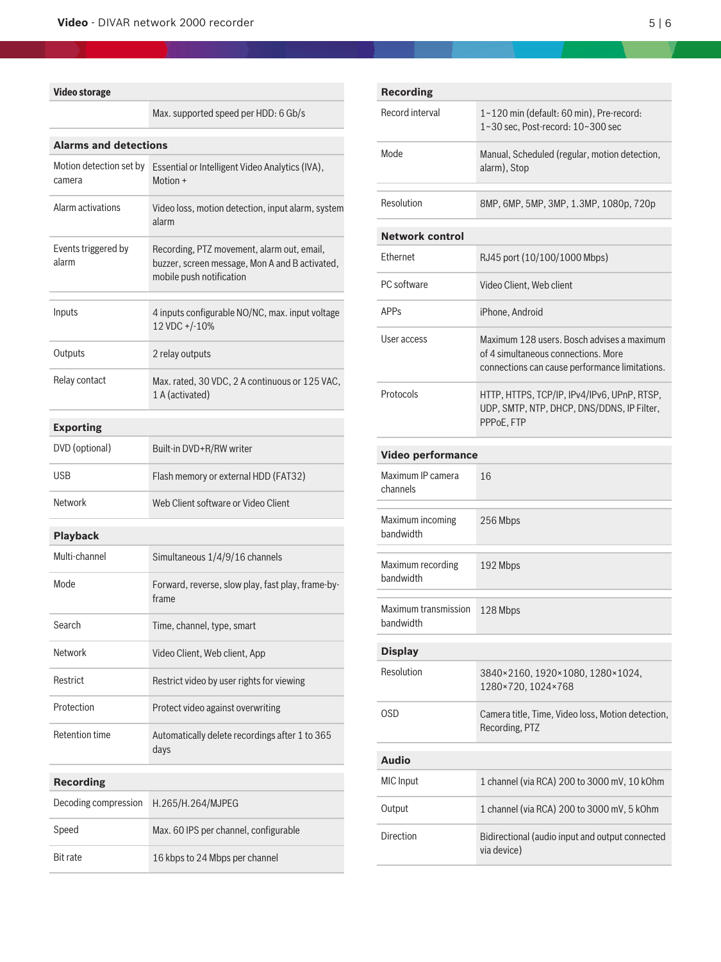# **Video storage**

|                                   | Max. supported speed per HDD: 6 Gb/s                                                                                     |  |
|-----------------------------------|--------------------------------------------------------------------------------------------------------------------------|--|
| <b>Alarms and detections</b>      |                                                                                                                          |  |
| Motion detection set by<br>camera | Essential or Intelligent Video Analytics (IVA),<br>Motion +                                                              |  |
| Alarm activations                 | Video loss, motion detection, input alarm, system<br>alarm                                                               |  |
| Events triggered by<br>alarm      | Recording, PTZ movement, alarm out, email,<br>buzzer, screen message, Mon A and B activated,<br>mobile push notification |  |
| Inputs                            | 4 inputs configurable NO/NC, max. input voltage<br>12 VDC +/-10%                                                         |  |
| Outputs                           | 2 relay outputs                                                                                                          |  |
| Relay contact                     | Max. rated, 30 VDC, 2 A continuous or 125 VAC,<br>1 A (activated)                                                        |  |
| <b>Exporting</b>                  |                                                                                                                          |  |
| DVD (optional)                    | Built-in DVD+R/RW writer                                                                                                 |  |
| <b>USB</b>                        | Flash memory or external HDD (FAT32)                                                                                     |  |
| Network                           | Web Client software or Video Client                                                                                      |  |
| <b>Playback</b>                   |                                                                                                                          |  |
| Multi-channel                     | Simultaneous 1/4/9/16 channels                                                                                           |  |
| Mode                              | Forward, reverse, slow play, fast play, frame-by-<br>frame                                                               |  |
| Search                            | Time, channel, type, smart                                                                                               |  |
| <b>Network</b>                    | Video Client, Web client, App                                                                                            |  |
| Restrict                          | Restrict video by user rights for viewing                                                                                |  |
| Protection                        | Protect video against overwriting                                                                                        |  |
| <b>Retention time</b>             | Automatically delete recordings after 1 to 365<br>days                                                                   |  |
| <b>Recording</b>                  |                                                                                                                          |  |
| Decoding compression              | H.265/H.264/MJPEG                                                                                                        |  |
| Speed                             | Max. 60 IPS per channel, configurable                                                                                    |  |
| <b>Bit rate</b>                   | 16 kbps to 24 Mbps per channel                                                                                           |  |

| <b>Recording</b>                  |                                                                                                                                     |  |
|-----------------------------------|-------------------------------------------------------------------------------------------------------------------------------------|--|
| Record interval                   | 1~120 min (default: 60 min), Pre-record:<br>1~30 sec, Post-record: 10~300 sec                                                       |  |
| Mode                              | Manual, Scheduled (regular, motion detection,<br>alarm), Stop                                                                       |  |
| Resolution                        | 8MP, 6MP, 5MP, 3MP, 1.3MP, 1080p, 720p                                                                                              |  |
| <b>Network control</b>            |                                                                                                                                     |  |
| Ethernet                          | RJ45 port (10/100/1000 Mbps)                                                                                                        |  |
| PC software                       | Video Client, Web client                                                                                                            |  |
| <b>APPs</b>                       | iPhone, Android                                                                                                                     |  |
| User access                       | Maximum 128 users. Bosch advises a maximum<br>of 4 simultaneous connections. More<br>connections can cause performance limitations. |  |
| Protocols                         | HTTP, HTTPS, TCP/IP, IPv4/IPv6, UPnP, RTSP,<br>UDP, SMTP, NTP, DHCP, DNS/DDNS, IP Filter,<br>PPPoE, FTP                             |  |
| <b>Video performance</b>          |                                                                                                                                     |  |
| Maximum IP camera<br>channels     | 16                                                                                                                                  |  |
| Maximum incoming<br>bandwidth     | 256 Mbps                                                                                                                            |  |
| Maximum recording<br>bandwidth    | 192 Mbps                                                                                                                            |  |
| Maximum transmission<br>bandwidth | 128 Mbps                                                                                                                            |  |
| <b>Display</b>                    |                                                                                                                                     |  |
| Resolution                        | 3840×2160, 1920×1080, 1280×1024,<br>1280×720, 1024×768                                                                              |  |
| OSD                               | Camera title, Time, Video loss, Motion detection,<br>Recording, PTZ                                                                 |  |
| <b>Audio</b>                      |                                                                                                                                     |  |
| <b>MIC</b> Input                  | 1 channel (via RCA) 200 to 3000 mV, 10 kOhm                                                                                         |  |
| Output                            | 1 channel (via RCA) 200 to 3000 mV, 5 kOhm                                                                                          |  |
| <b>Direction</b>                  | Bidirectional (audio input and output connected<br>via device)                                                                      |  |